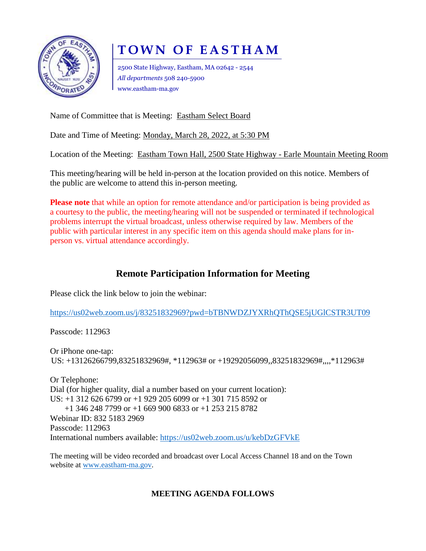

# **T O W N O F E A S T H A M**

2500 State Highway, Eastham, MA 02642 - 2544 *All departments* 508 240-5900 www.eastham-ma.gov

Name of Committee that is Meeting: Eastham Select Board

Date and Time of Meeting: Monday, March 28, 2022, at 5:30 PM

Location of the Meeting: Eastham Town Hall, 2500 State Highway - Earle Mountain Meeting Room

This meeting/hearing will be held in-person at the location provided on this notice. Members of the public are welcome to attend this in-person meeting.

**Please note** that while an option for remote attendance and/or participation is being provided as a courtesy to the public, the meeting/hearing will not be suspended or terminated if technological problems interrupt the virtual broadcast, unless otherwise required by law. Members of the public with particular interest in any specific item on this agenda should make plans for inperson vs. virtual attendance accordingly.

## **Remote Participation Information for Meeting**

Please click the link below to join the webinar:

<https://us02web.zoom.us/j/83251832969?pwd=bTBNWDZJYXRhQThQSE5jUGlCSTR3UT09>

Passcode: 112963

Or iPhone one-tap: US: +13126266799,83251832969#, \*112963# or +19292056099,,83251832969#,,,,\*112963#

Or Telephone: Dial (for higher quality, dial a number based on your current location): US: +1 312 626 6799 or +1 929 205 6099 or +1 301 715 8592 or +1 346 248 7799 or +1 669 900 6833 or +1 253 215 8782 Webinar ID: 832 5183 2969 Passcode: 112963 International numbers available:<https://us02web.zoom.us/u/kebDzGFVkE>

The meeting will be video recorded and broadcast over Local Access Channel 18 and on the Town website at [www.eastham-ma.gov.](http://www.eastham-ma.gov/)

### **MEETING AGENDA FOLLOWS**